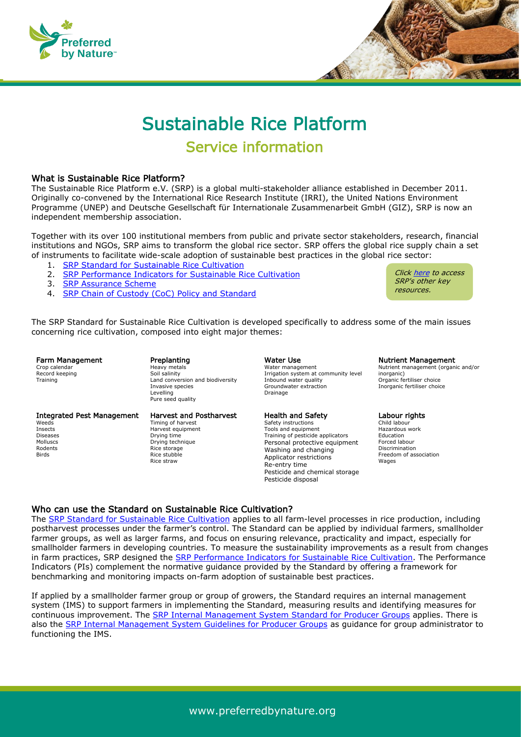



# Sustainable Rice Platform Service information

# What is Sustainable Rice Platform?

The Sustainable Rice Platform e.V. (SRP) is a global multi-stakeholder alliance established in December 2011. Originally co-convened by the International Rice Research Institute (IRRI), the United Nations Environment Programme (UNEP) and Deutsche Gesellschaft für Internationale Zusammenarbeit GmbH (GIZ), SRP is now an independent membership association.

Together with its over 100 institutional members from public and private sector stakeholders, research, financial institutions and NGOs, SRP aims to transform the global rice sector. SRP offers the global rice supply chain a set of instruments to facilitate wide-scale adoption of sustainable best practices in the global rice sector:

- 1. [SRP Standard for Sustainable Rice Cultivation](https://www.sustainablerice.org/wp-content/uploads/2021/09/103-SRP-Standard-Version-2.1.pdf)
- 2. [SRP Performance Indicators for Sustainable Rice Cultivation](https://sustainablerice.org/wp-content/uploads/2021/08/203-SRP-Performance-Indicators-Version-2.1.pdf)
- 3. [SRP Assurance Scheme](https://sustainablerice.org/wp-content/uploads/2021/07/301-SRP-Assurance-Scheme-v1.3_ND.pdf)
- 4. [SRP Chain of Custody \(CoC\) Policy and Standard](https://sustainablerice.org/wp-content/uploads/2021/07/501-SRP-Chain-of-Custody-Policy-and-Standard-v1.0_ND.pdf)

Clic[k here](https://www.sustainablerice.org/resources/) to access SRP's other key resources.

The SRP Standard for Sustainable Rice Cultivation is developed specifically to address some of the main issues concerning rice cultivation, composed into eight major themes:

Farm Management Crop calendar Record keeping **Training** 

#### Preplanting Heavy metals Soil salinity Land conversion and biodiversity Invasive species Levelling Pure seed quality

#### Integrated Pest Management **Weeds** Insects Diseases Mollusce

Rodents Birds

Harvest and Postharvest Timing of harvest Harvest equipment Drying time Drying technique Rice storage Rice stubble Rice straw

# Water Use Water management

Irrigation system at community level Inbound water quality Groundwater extraction Drainage

#### Health and Safety

Safety instructions Tools and equipment Training of pesticide applicators Personal protective equipment Washing and changing Applicator restrictions Re-entry time Pesticide and chemical storage Pesticide disposal

#### Nutrient Management

Nutrient management (organic and/or inorganic) Organic fertiliser choice Inorganic fertiliser choice

#### Labour rights

Child labour Hazardous work Education Forced labour Discrimination Freedom of association Wages

# Who can use the Standard on Sustainable Rice Cultivation?

The [SRP Standard for Sustainable Rice Cultivation](https://www.sustainablerice.org/wp-content/uploads/2021/08/103-SRP-Standard-Version-2.1_ND.pdf) applies to all farm-level processes in rice production, including postharvest processes under the farmer's control. The Standard can be applied by individual farmers, smallholder farmer groups, as well as larger farms, and focus on ensuring relevance, practicality and impact, especially for smallholder farmers in developing countries. To measure the sustainability improvements as a result from changes in farm practices, SRP designed the [SRP Performance Indicators for Sustainable Rice Cultivation.](https://www.sustainablerice.org/wp-content/uploads/2021/08/203-SRP-Performance-Indicators-Version-2.1.pdf) The Performance Indicators (PIs) complement the normative guidance provided by the Standard by offering a framework for benchmarking and monitoring impacts on-farm adoption of sustainable best practices.

If applied by a smallholder farmer group or group of growers, the Standard requires an internal management system (IMS) to support farmers in implementing the Standard, measuring results and identifying measures for continuous improvement. The [SRP Internal Management System Standard for Producer Groups](https://www.sustainablerice.org/wp-content/uploads/2021/07/401-SRP-IMS-Standard-v1.0_ND.pdf) applies. There is also the [SRP Internal Management System Guidelines for Producer Groups](https://www.sustainablerice.org/wp-content/uploads/2021/07/402-SRP-IMS-Guidelines-v1.0_ND.pdf) as guidance for group administrator to functioning the IMS.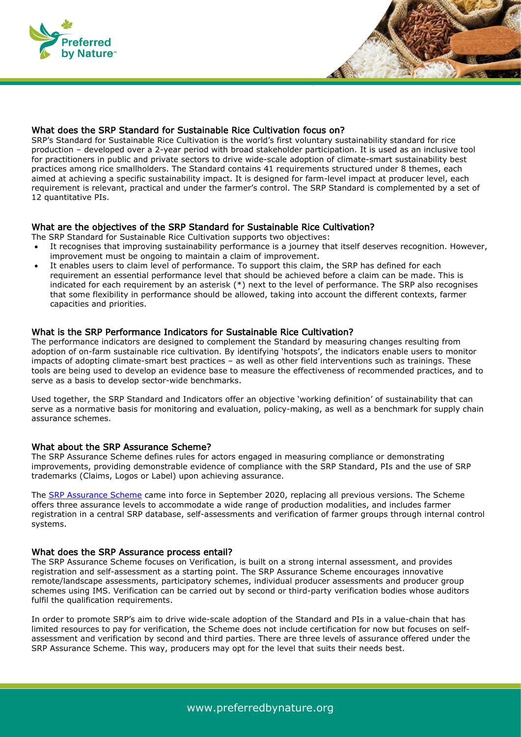

# What does the SRP Standard for Sustainable Rice Cultivation focus on?

SRP's Standard for Sustainable Rice Cultivation is the world's first voluntary sustainability standard for rice production – developed over a 2-year period with broad stakeholder participation. It is used as an inclusive tool for practitioners in public and private sectors to drive wide-scale adoption of climate-smart sustainability best practices among rice smallholders. The Standard contains 41 requirements structured under 8 themes, each aimed at achieving a specific sustainability impact. It is designed for farm-level impact at producer level, each requirement is relevant, practical and under the farmer's control. The SRP Standard is complemented by a set of 12 quantitative PIs.

# What are the objectives of the SRP Standard for Sustainable Rice Cultivation?

The SRP Standard for Sustainable Rice Cultivation supports two objectives:

- It recognises that improving sustainability performance is a journey that itself deserves recognition. However, improvement must be ongoing to maintain a claim of improvement.
- It enables users to claim level of performance. To support this claim, the SRP has defined for each requirement an essential performance level that should be achieved before a claim can be made. This is indicated for each requirement by an asterisk  $(*)$  next to the level of performance. The SRP also recognises that some flexibility in performance should be allowed, taking into account the different contexts, farmer capacities and priorities.

### What is the SRP Performance Indicators for Sustainable Rice Cultivation?

The performance indicators are designed to complement the Standard by measuring changes resulting from adoption of on-farm sustainable rice cultivation. By identifying 'hotspots', the indicators enable users to monitor impacts of adopting climate-smart best practices – as well as other field interventions such as trainings. These tools are being used to develop an evidence base to measure the effectiveness of recommended practices, and to serve as a basis to develop sector-wide benchmarks.

Used together, the SRP Standard and Indicators offer an objective 'working definition' of sustainability that can serve as a normative basis for monitoring and evaluation, policy-making, as well as a benchmark for supply chain assurance schemes.

## What about the SRP Assurance Scheme?

The SRP Assurance Scheme defines rules for actors engaged in measuring compliance or demonstrating improvements, providing demonstrable evidence of compliance with the SRP Standard, PIs and the use of SRP trademarks (Claims, Logos or Label) upon achieving assurance.

The [SRP Assurance Scheme](https://www.sustainablerice.org/wp-content/uploads/2021/07/301-SRP-Assurance-Scheme-v1.3_ND.pdf) came into force in September 2020, replacing all previous versions. The Scheme offers three assurance levels to accommodate a wide range of production modalities, and includes farmer registration in a central SRP database, self-assessments and verification of farmer groups through internal control systems.

### What does the SRP Assurance process entail?

The SRP Assurance Scheme focuses on Verification, is built on a strong internal assessment, and provides registration and self-assessment as a starting point. The SRP Assurance Scheme encourages innovative remote/landscape assessments, participatory schemes, individual producer assessments and producer group schemes using IMS. Verification can be carried out by second or third-party verification bodies whose auditors fulfil the qualification requirements.

In order to promote SRP's aim to drive wide-scale adoption of the Standard and PIs in a value-chain that has limited resources to pay for verification, the Scheme does not include certification for now but focuses on selfassessment and verification by second and third parties. There are three levels of assurance offered under the SRP Assurance Scheme. This way, producers may opt for the level that suits their needs best.